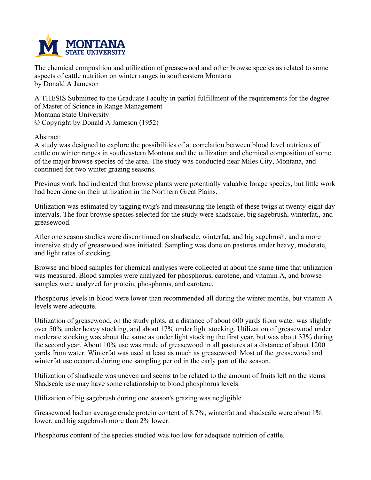

**The chemical composition and utilization of greasewood and other browse species as related to some aspects of cattle nutrition on winter ranges in southeastern Montana by Donald A Jameson**

**A THESIS Submitted to the Graduate Faculty in partial fulfillment of the requirements for the degree of Master of Science in Range Management Montana State University © Copyright by Donald A Jameson (1952)**

**Abstract:**

**A study was designed to explore the possibilities of a. correlation between blood level nutrients of cattle on winter ranges in southeastern Montana and the utilization and chemical composition of some of the major browse species of the area. The study was conducted near Miles City, Montana, and continued for two winter grazing seasons.**

**Previous work had indicated that browse plants were potentially valuable forage species, but little work had been done on their utilization in the Northern Great Plains.**

**Utilization was estimated by tagging twig's and measuring the length of these twigs at twenty-eight day intervals. The four browse species selected for the study were shadscale, big sagebrush, winterfat,, and greasewood.**

**After one season studies were discontinued on shadscale, winterfat, and big sagebrush, and a more intensive study of greasewood was initiated. Sampling was done on pastures under heavy, moderate, and light rates of stocking.**

**Browse and blood samples for chemical analyses were collected at about the same time that utilization was measured. Blood samples were analyzed for phosphorus, carotene, and vitamin A, and browse samples were analyzed for protein, phosphorus, and carotene.**

**Phosphorus levels in blood were lower than recommended all during the winter months, but vitamin A levels were adequate.**

Utilization of greasewood, on the study plots, at a distance of about 600 yards from water was slightly **over 50% under heavy stocking, and about 17% under light stocking. Utilization of greasewood under** moderate stocking was about the same as under light stocking the first year, but was about 33% during the second year. About 10% use was made of greasewood in all pastures at a distance of about 1200 **yards from water. Winterfat was used at least as much as greasewood. Most of the greasewood and winterfat use occurred during one sampling period in the early part of the season.**

Utilization of shadscale was uneven and seems to be related to the amount of fruits left on the stems. **Shadscale use may have some relationship to blood phosphorus levels.**

**Utilization of big sagebrush during one season's grazing was negligible.**

**Greasewood had an average crude protein content of 8.7%, winterfat and shadscale were about 1% lower, and big sagebrush more than 2% lower.**

**Phosphorus content of the species studied was too low for adequate nutrition of cattle.**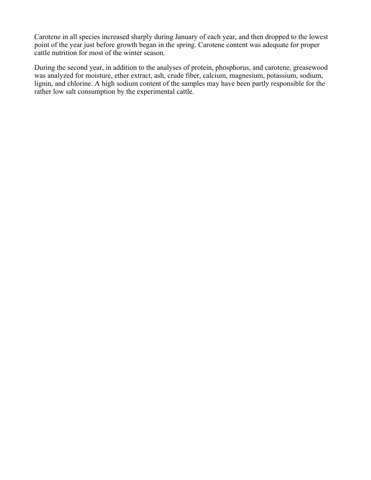**Carotene in all species increased sharply during January of each year, and then dropped to the lowest point of the year just before growth began in the spring. Carotene content was adequate for proper cattle nutrition for most of the winter season.**

**During the second year, in addition to the analyses of protein, phosphorus, and carotene, greasewood was analyzed for moisture, ether extract, ash, crude fiber, calcium, magnesium, potassium, sodium, lignin, and chlorine. A high sodium content of the samples may have been partly responsible for the rather low salt consumption by the experimental cattle.**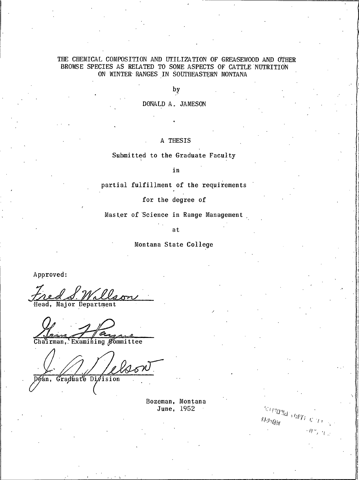### THE CHEMICAL COMPOSITION AND UTILIZATION OF GREASEWOOD AND OTHER BROWSE SPECIES AS RELATED TO SOME ASPECTS OF CATTLE NUTRITION ON WINTER RANGES IN SOUTHEASTERN MONTANA

by

DONALD A. JAMESON

A THESIS

Submitted to the Graduate Faculty

in

partial fulfillment of the requirements

for the degree of

Master of Science in Range Management

at

Montana State College

Approved:

Head, Major Department

e

Chairman, Examining Committee

Graduate Division éán,

> Bozeman, Montana June, 1952

**SUPMINE STREET** 

 $\bar{m}_{\mathcal{PQ}|_{\mathcal{U}}}$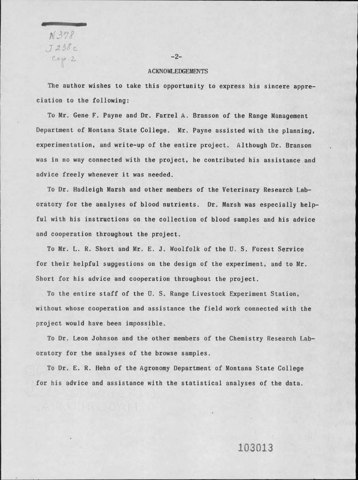$N378$  $J238c$ <br>Cop. 2

#### **ACKNOWLEDGEMENTS**

 $-2-$ 

The author wishes to take this opportunity to express his sincere appreciation to the following:

To Mr. Gene F. Payne and Dr. Farrel A. Branson of the Range Management Department of Montana State College. Mr. Payne assisted with the planning, experimentation, and write-up of the entire project. Although Dr. Branson was in no way connected with the project, he contributed his assistance and advice freely whenever it was needed.

To Dr. Hadleigh Marsh and other members of the Veterinary Research Laboratory for the analyses of blood nutrients. Dr. Marsh was especially helpful with his instructions on the collection of blood samples and his advice and cooperation throughout the project.

To Mr. L. R. Short and Mr. E. J. Woolfolk of the U. S. Forest Service for their helpful suggestions on the design of the experiment, and to Mr. Short for his advice and cooperation throughout the project.

To the entire staff of the U.S. Range Livestock Experiment Station, without whose cooperation and assistance the field work connected with the project would have been impossible.

To Dr. Leon Johnson and the other members of the Chemistry Research Laboratory for the analyses of the browse samples.

To Dr. E. R. Hehn of the Agronomy Department of Montana State College for his advice and assistance with the statistical analyses of the data.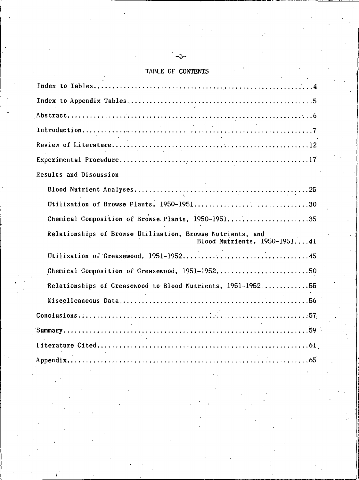## TABLE OF CONTENTS

| $\mathcal{L}_{\text{max}}$ , and $\mathcal{L}_{\text{max}}$                                    |
|------------------------------------------------------------------------------------------------|
|                                                                                                |
|                                                                                                |
| Results and Discussion                                                                         |
|                                                                                                |
|                                                                                                |
| Chemical Composition of Browse Plants, 1950-195135                                             |
| Relationships of Browse Utilization, Browse Nutrients, and<br>Blood Nutrients, $1950 - 195141$ |
|                                                                                                |
| Chemical Composition of Greasewood, 1951-195250                                                |
| Relationships of Greasewood to Blood Nutrients, 1951-195255                                    |
|                                                                                                |
|                                                                                                |
|                                                                                                |
|                                                                                                |
|                                                                                                |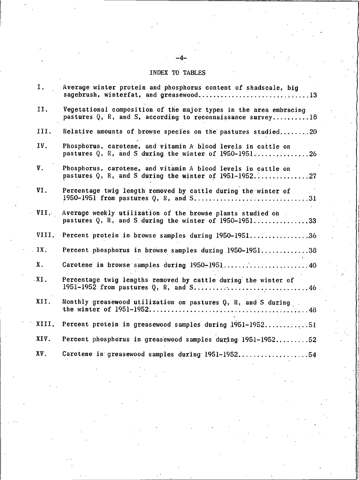# INDEX TO TABLES

| Ι.                | Average winter protein and phosphorus content of shadscale, big<br>sagebrush, winterfat, and greasewood13                            |
|-------------------|--------------------------------------------------------------------------------------------------------------------------------------|
| II.               | Vegetational composition of the major types in the area embracing<br>pastures $Q_i$ , R, and S, according to reconnaissance survey18 |
| III.              | Relative amounts of browse species on the pastures studied20                                                                         |
| IV.               | Phosphorus, carotene, and vitamin A blood levels in cattle on<br>pastures Q. R. and S during the winter of 1950-1951                 |
| V.                | Phosphorus, carotene, and vitamin A blood levels in cattle on<br>pastures $Q$ , $R$ , and S during the winter of 1951-195227         |
| VI.               | Percentage twig length removed by cattle during the winter of                                                                        |
| VII.              | Average weekly utilization of the browse plants studied on<br>pastures Q, R, and S during the winter of 1950-195133                  |
| VIII.             | Percent protein in browse samples during 1950-195136                                                                                 |
| IX.               | Percent phosphorus in browse samples during 1950-195138                                                                              |
| Χ.                | Carotene in browse samples during 1950-195140                                                                                        |
| $\overline{XI}$ . | Percentage twig lengths removed by cattle during the winter of                                                                       |
| XII.              | Monthly greasewood utilization on pastures Q. R. and S during                                                                        |
| XIII.             | Percent protein in greasewood samples during 1951-195251                                                                             |
| XIV.              | Percent phosphorus in greasewood samples duräng 1951-195252                                                                          |
| XV.               | Carotene in greasewood samples during 1951-195254                                                                                    |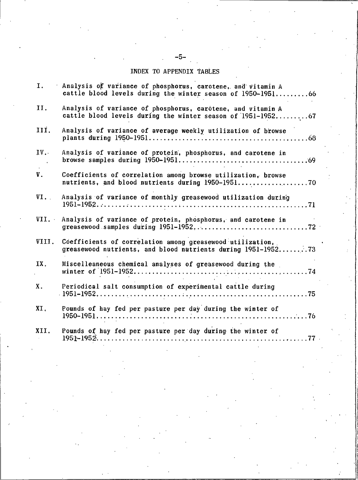# INDEX TO APPENDIX TABLES

| I.    | Analysis of variance of phosphorus, carotene, and vitamin A<br>cattle blood levels during the winter season of 1950-1951 66 |
|-------|-----------------------------------------------------------------------------------------------------------------------------|
| II.   | Analysis of variance of phosphorus, carotene, and vitamin A<br>cattle blood levels during the winter season of 1951-1952 67 |
| III.  | Analysis of variance of average weekly utilization of browse                                                                |
| IV.   | Analysis of variance of protein, phosphorus, and carotene in                                                                |
| V.    | Coefficients of correlation among browse utilization, browse                                                                |
| VI.   | Analysis of variance of monthly greasewood utilization during                                                               |
| VII.  | Analysis of variance of protein, phosphorus, and carotene in                                                                |
| VIII. | Coefficients of correlation among greasewood utilization.<br>greasewood nutrients, and blood nutrients during 1951-195273   |
| IX.   | Miscelleaneous chemical analyses of greasewood during the                                                                   |
| Χ.    | Periodical salt consumption of experimental cattle during                                                                   |
| XI.   | Pounds of hay fed per pasture per day during the winter of                                                                  |
| XII.  | Pounds of hay fed per pasture per day during the winter of<br>$1951 - 1952$<br>77                                           |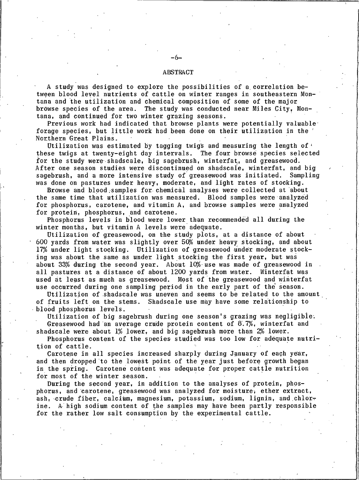#### ABSTRACT

A study was designed to explore the possibilities of a correlation between blood level nutrients of cattle on winter ranges in southeastern Montana and the utilization and chemical composition of some of the major browse species of the area. The study was conducted near Miles City, Montana, and continued for two winter grazing seasons.

Previous work had indicated that browse plants were potentially valuable forage species, but little work had been done on their utilization in the Northern Great Plains.

Utilization was estimated by tagging twigs and measuring the length of  $\cdot$ these twigs at twenty-eight day intervals. The four browse species selected for the study were shadscale, big sagebrush, winterfat, and greasewood. After one season studies were discontinued on shadscale, winterfat, and big sagebrush, and a more intensive study of greasewood was initiated. Sampling was done on pastures under heavy, moderate, and light rates of stocking.

Browse and blood samples for chemical analyses were collected at about the same time that utilization was measured. Blood samples were analyzed for phosphorus, carotene, and vitamin A, and browse samples were analyzed for protein, phosphorus, and carotene.

Phosphorus levels in blood were lower than recommended all during the winter months, but vitamin A levels were adequate.

Utilization of greasewood, on the study plots, at a distance of about 600 yards from water was slightly over 50% under heavy stocking, and about 17% under light stocking. Utilization of greasewood under moderate stocking was about the same as under light stocking the first year, but was about 33% during the second year. About 10% use was made of greasewood in all pastures at a distance of about 1200 yards from water. Winterfat was used at least as much as greasewood. Most of the greasewood and winterfat use occurred during one sampling period in the early part of the season.

Utilization of shadscale was uneven and seems to be related to the amount of fruits left on the stems. Shadscale use may have some relationship to blood phosphorus levels.

Utilization of big sagebrush during one season's grazing was negligible. Greasewood had an average crude protein content of  $8.7%$ , winterfat and

shadscale were about  $1\%$  lower, and big sagebrush more than  $2\%$  lower.

Phosphorus content of the species studied was too low for adequate nutrition of cattle.

Carotene in all species increased sharply during January of each year. and then dropped to the lowest point of the year just before growth began in the spring. Carotene content was adequate for proper cattle nutrition for most of the winter season.

During the second year, in addition to the analyses of protein, phosphorus, and carotene, greasewood was analyzed for moisture, ether extract, ash, crude fiber, calcium, magnesium, potassium, sodium, lignin, and chlorine. A high sodium content of the samples may have been partly responsible for the rather low salt consumption by the experimental cattle.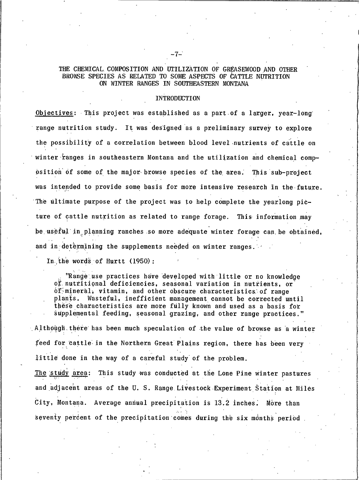### THE CHEMICAL COMPOSITION AND UTILIZATION OF GREASEWOOD AND OTHER BROWSE SPECIES AS RELATED TO SOME ASPECTS OF CATTLE NUTRITION ON WINTER RANGES IN SOUTHEASTERN MONTANA

#### **INTRODUCTION**

Objectives: This project was established as a part of a larger, year-long range nutrition study. It was designed as a preliminary survey to explore the possibility of a correlation between blood level nutrients of cattle on winter ranges in southeastern Montana and the utilization and chemical composition of some of the major browse species of the area. This sub-project was intended to provide some basis for more intensive research in the future. The ultimate purpose of the project was to help complete the yearlong picture of cattle nutrition as related to range forage. This information may be useful in planning ranches so more adequate winter forage can be obtained. and in determining the supplements needed on winter ranges.

In the words of Hurtt (1950):

"Range use practices have developed with little or no knowledge of nutritional deficiencies, seasonal variation in nutrients, or of mineral, vitamin, and other obscure characteristics of range plants. Wasteful, inefficient management cannot be corrected until these characteristics are more fully known and used as a basis for supplemental feeding, seasonal grazing, and other range practices."

Although there has been much speculation of the value of browse as a winter feed for cattle in the Northern Great Plains region, there has been very little done in the way of a careful study of the problem.

The study area: This study was conducted at the Lone Pine winter pastures and adjacent areas of the U.S. Range Livestock Experiment Station at Miles City, Montana. Average annual precipitation is 13.2 inches. More than seventy percent of the precipitation comes during the six months period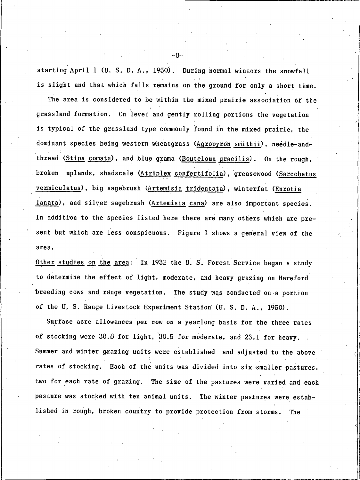starting April 1 (U.S.D.A., 1950). During normal winters the snowfall is slight and that which falls remains on the ground for only a short time.

The area is considered to be within the mixed prairie association of the grassland formation. On level and gently rolling portions the vegetation is typical of the grassland type commonly found in the mixed prairie, the dominant species being western wheatgrass (Agropyron smithii), needle-andthread (Stipa comata), and blue grama (Bouteloua gracilis). On the rough, broken uplands, shadscale (Atriplex confertifolia), greasewood (Sarcobatus vermiculatus), big sagebrush (Artemisia tridentata), winterfat (Eurotia lanata), and silver sagebrush (Artemisia cana) are also important species. In addition to the species listed here there are many others which are present but which are less conspicuous. Figure 1 shows a general view of the area.

Other studies on the area: In 1932 the U.S. Forest Service began a study to determine the effect of light, moderate, and heavy grazing on Hereford breeding cows and range vegetation. The study was conducted on a portion of the U.S. Range Livestock Experiment Station (U.S.D.A., 1950).

Surface acre allowances per cow on a yearlong basis for the three rates of stocking were 38.8 for light, 30.5 for moderate, and 23.1 for heavy. Summer and winter grazing units were established and adjusted to the above rates of stocking. Each of the units was divided into six smaller pastures, two for each rate of grazing. The size of the pastures were varied and each pasture was stocked with ten animal units. The winter pastures were established in rough, broken country to provide protection from storms. The

–ឧ.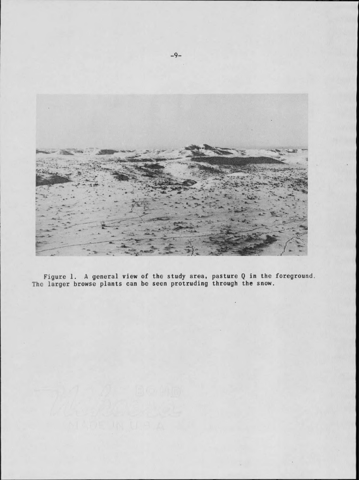

Figure 1. A general view of the study area, pasture Q in the foreground.<br>The larger browse plants can be seen protruding through the snow.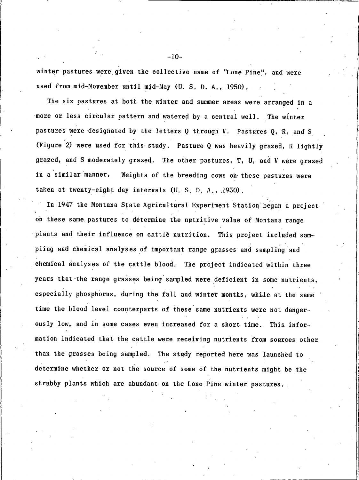winter pastures were given the collective name of "Lone Pine", and were used from mid-November until mid-May (U. S. D. A., 1950).

The six pastures at both the winter and summer areas were arranged in a more or less circular pattern and watered by a central well. The winter pastures were designated by the letters  $Q$  through  $V$ . Pastures  $Q$ , R, and S (Figure 2) were used for this study. Pasture Q was heavily grazed, R lightly grazed, and S moderately grazed. The other pastures, T, U, and V were grazed in a similar manner. Weights of the breeding cows on these pastures were taken at twenty-eight day intervals (U. S. D. A., .1950).

In 1947 the Montana State Agricultural Experiment Station began a project on these same pastures to determine the nutritive value of Montana range plants and their influence on cattle nutrition. This project included sampling and chemical analyses of important range grasses and sampling and chemical analyses of the cattle blood. The project indicated within three years that the range grasses being sampled were deficient in some nutrients, especially phosphorus, during the fall and winter months, while at the same time the blood level counterparts of these same nutrients were not dangerously low, and in some cases even increased for a short time. This information indicated that the cattle were receiving nutrients from sources other than the grasses being sampled. The study reported here was launched to determine whether or not the source of some of the nutrients might be the shrubby plants which are abundant on the Lone Pine winter pastures.

 $-10-$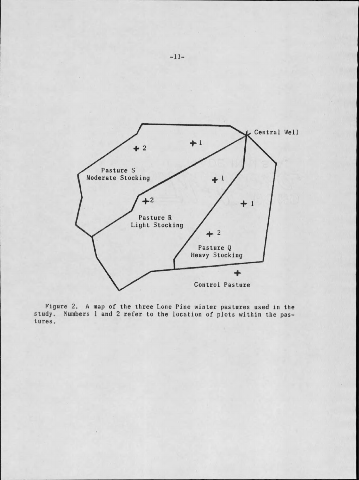

Figure 2. A map of the three Lone Pine winter pastures used in the study. Numbers 1 and 2 refer to the location of plots within the pastures.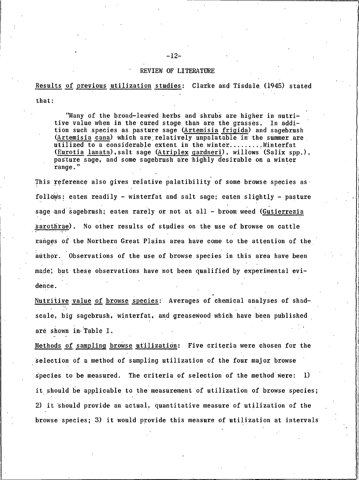#### REVIEW OF LITERATURE

Results of previous utilization studies: Clarke and Tisdale (1945) stated that:

"Many of the broad-leaved herbs and shrubs are higher in nutritive value when in the cured stage than are the grasses. In addition such species as pasture sage (Artemisia frigida) and sagebrush (Artemisia cana) which are relatively unpalatable in the summer are utilized to a considerable extent in the winter........Winterfat (Eurotia lanata), salt sage (Atriplex gardneri), willows (Salix spp.), pasture sage, and some sagebrush are highly desirable on a winter range."

This reference also gives relative palatibility of some browse species as follows: eaten readily - winterfat and salt sage; eaten slightly - pasture sage and sagebrush; eaten rarely or not at all - broom weed (Gutierrezia sarothrae). No other results of studies on the use of browse on cattle ranges of the Northern Great Plains area have come to the attention of the author. Observations of the use of browse species in this area have been made, but these observations have not been qualified by experimental evidence.

Nutritive value of browse species: Averages of chemical analyses of shadscale, big sagebrush, winterfat, and greasewood which have been published are shown in Table I.

Methods of sampling browse utilization: Five criteria were chosen for the selection of a method of sampling utilization of the four major browse species to be measured. The criteria of selection of the method were: **1** it should be applicable to the measurement of utilization of browse species; 2) it should provide an actual, quantitative measure of utilization of the browse species; 3) it would provide this measure of utilization at intervals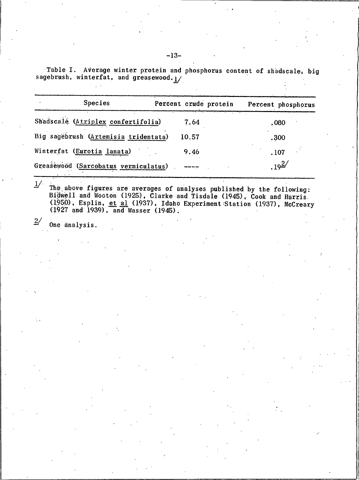Table I. Average winter protein and phosphorus content of shadscale, big sagebrush, winterfat, and greasewood. 1/

| <b>Species</b>                       | Percent crude protein | Percent phosphorus |  |
|--------------------------------------|-----------------------|--------------------|--|
| Shadscalé (Atriplex confertifolia)   | 7.64                  | .080               |  |
| Big sagebrush (Artemisia tridentata) | 10.57                 | .300               |  |
| Winterfat (Eurotia lanata)           | 9.46                  | .107               |  |
| Greasewood (Sarcobatus vermiculatus) |                       | $.19^{2/}$         |  |

 $1/$ The above figures are averages of analyses published by the following:<br>Bidwell and Wooton (1925), Clarke and Tisdale (1945), Cook and Harris  $(1950)$ . Esplin, et al  $(1937)$ . Idaho Experiment Station  $(1937)$ . McCreary (1927 and 1939), and Wasser (1945).

 $\frac{2}{ }$ One analysis.  $-13-$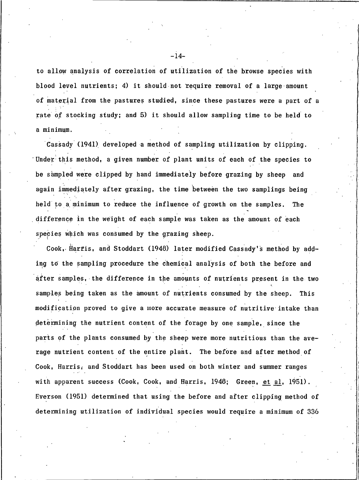to allow analysis of correlation of utilization of the browse species with blood level nutrients; 4) it should not require removal of a large amount of material from the pastures studied, since these pastures were a part of a rate of stocking study; and 5) it should allow sampling time to be held to a minimum.

Cassady (1941) developed a method of sampling utilization by clipping. 'Under this method, a given number of plant units of each of the species to be sampled were clipped by hand immediately before grazing by sheep and again immediately after grazing, the time between the two samplings being held to a minimum to reduce the influence of growth on the samples. The difference in the weight of each sample was taken as the amount of each species which was consumed by the grazing sheep.

Cook, Harris, and Stoddart (1948) later modified Cassady's method by adding to the sampling procedure the chemical analysis of both the before and after samples, the difference in the amounts of nutrients present in the two samples being taken as the amount of nutrients consumed by the sheep. This modification proved to give a more accurate measure of nutritive intake than determining the nutrient content of the forage by one sample, since the parts of the plants consumed by the sheep were more nutritious than the average nutrient content of the entire plant. The before and after method of Cook, Harris, and Stoddart has been used on both winter and summer ranges with apparent success (Cook, Cook, and Harris, 1948; Green, et al. 1951). Everson (1951) determined that using the before and after clipping method of determining utilization of individual species would require a minimum of 336

 $-14-$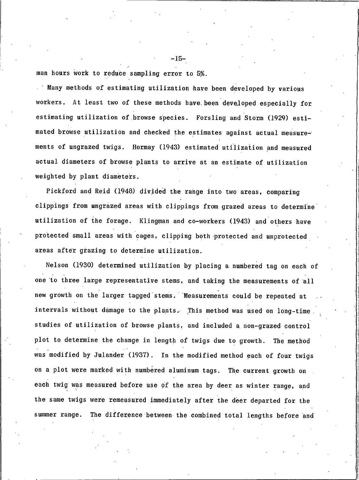man hours work to reduce sampling error to 5%.

Many methods of estimating utilization have been developed by various workers. At least two of these methods have been developed especially for estimating utilization of browse species. Forsling and Storm (1929) estimated browse utilization and checked the estimates against actual measurements of ungrazed twigs. Hormay (1943) estimated utilization and measured actual diameters of browse plants to arrive at an estimate of utilization weighted by plant diameters.

Pickford and Reid (1948) divided the range into two areas, comparing clippings from ungrazed areas with clippings from grazed areas to determine utilization of the forage. Klingman and co-workers (1943) and others have protected small areas with cages, clipping both protected and unprotected areas after grazing to determine utilization.

Nelson (1930) determined utilization by placing a numbered tag on each of one to three large representative stems, and taking the measurements of all new growth on the larger tagged stems. Measurements could be repeated at intervals without damage to the plants. This method was used on long-time studies of utilization of browse plants, and included a non-grazed control plot to determine the change in length of twigs due to growth. The method was modified by Julander (1937). In the modified method each of four twigs on a plot were marked with numbered aluminum tags. The current growth on each twig was measured before use of the area by deer as winter range, and the same twigs were remeasured immediately after the deer departed for the summer range. The difference between the combined total lengths before and

 $-15-$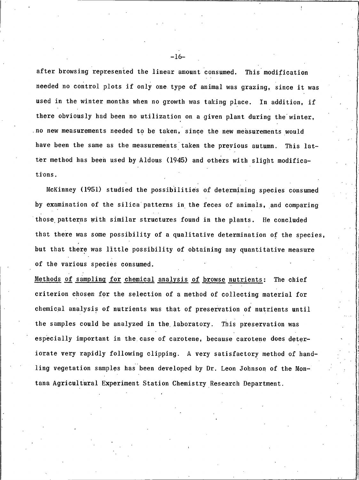after browsing represented the linear amount consumed. This modification needed no control plots if only one type of animal was grazing, since it was used in the winter months when no growth was taking place. In addition, if there obviously had been no utilization on a given plant during the winter, no new measurements needed to be taken, since the new measurements would have been the same as the measurements taken the previous autumn. This latter method has been used by Aldous (1945) and others with slight modifications.

McKinney (1951) studied the possibilities of determining species consumed by examination of the silica patterns in the feces of animals, and comparing those patterns with similar structures found in the plants. He concluded that there was some possibility of a qualitative determination of the species, but that there was little possibility of obtaining any quantitative measure of the various species consumed.

Methods of sampling for chemical analysis of browse nutrients: The chief criterion chosen for the selection of a method of collecting material for chemical analysis of nutrients was that of preservation of nutrients until the samples could be analyzed in the laboratory. This preservation was especially important in the case of carotene, because carotene does deteriorate very rapidly following clipping. A very satisfactory method of handling vegetation samples has been developed by Dr. Leon Johnson of the Montana Agricultural Experiment Station Chemistry Research Department.

 $-16-$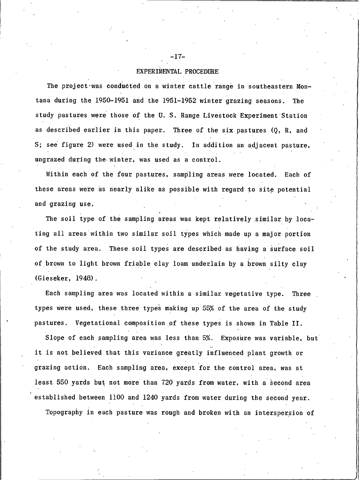#### EXPERIMENTAL PROCEDURE

The project was conducted on a winter cattle range in southeastern Montana during the 1950-1951 and the 1951-1952 winter grazing seasons. The study pastures were those of the U.S. Range Livestock Experiment Station as described earlier in this paper. Three of the six pastures (Q, R, and S; see figure 2) were used in the study. In addition an adjacent pasture, ungrazed during the winter, was used as a control.

Within each of the four pastures, sampling areas were located. Each of these areas were as nearly alike as possible with regard to site potential and grazing use.

The soil type of the sampling areas was kept relatively similar by locating all areas within two similar soil types which made up a major portion of the study area. These soil types are described as having a surface soil of brown to light brown friable clay loam underlain by a brown silty clay (Gieseker, 1948).

Each sampling area was located within a similar vegetative type. Three types were used, these three types making up 55% of the area of the study pastures. Vegetational composition of these types is shown in Table II.

Slope of each sampling area was less than 5%. Exposure was variable, but it is not believed that this variance greatly influenced plant growth or grazing action. Each sampling area, except for the control area, was at least 550 yards but not more than 720 yards from water, with a second area established between 1100 and 1240 yards from water during the second year. Topography in each pasture was rough and broken with an interspersion of

 $-17-$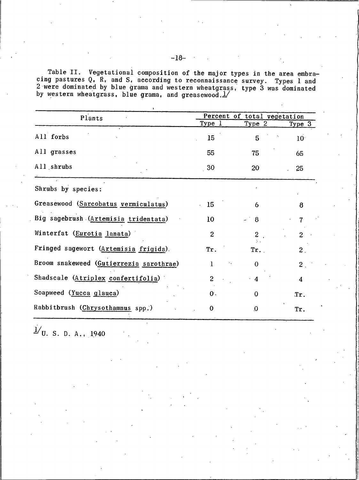Table II. Vegetational composition of the major types in the area embra-<br>cing pastures Q. R, and S, according to reconnaissance survey. Types 1 and<br>2 were dominated by blue grama and western wheatgrass, type 3 was dominat

| Plants                                  |                | Percent of total vegetation |                 |  |
|-----------------------------------------|----------------|-----------------------------|-----------------|--|
|                                         | <u>Type l</u>  | <u>Type 2</u>               | Type 3          |  |
| All forbs                               | 15             | 5                           | 10 <sup>7</sup> |  |
| All grasses                             | 55             | 75                          | 65              |  |
| All shrubs                              | 30             | 20                          | 25              |  |
| Shrubs by species:                      |                |                             |                 |  |
| Greasewood (Sarcobatus vermiculatus)    | 15             | 6                           | 8               |  |
| Big sagebrush (Artemisia tridentata)    | 10             | 8                           |                 |  |
| Winterfat (Eurotia lanata)              | $\overline{2}$ | $\overline{c}$              | $\overline{2}$  |  |
| Fringed sagewort (Artemisia frigida).   | Tr.            | Tr.                         | 2.              |  |
| Broom snakeweed (Gutierrezia sarothrae) | 1              | 0                           | 2 <sub>1</sub>  |  |
| Shadscale (Atriplex confertifolia)      | $\overline{2}$ | 4                           | 4               |  |
| Soapweed (Yucca glauca)                 | 0.             | 0                           | Tr.             |  |
| Rabbitbrush (Chrysothamnus spp.)        | 0              | $\bf{0}$                    | Tr.             |  |
|                                         |                |                             |                 |  |

 $\frac{1}{v}$ U.S.D.A., 1940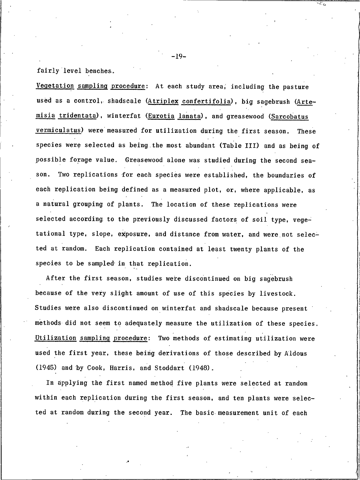fairly level benches.

Vegetation sampling procedure: At each study area, including the pasture used as a control, shadscale (Atriplex confertifolia), big sagebrush (Artemisia tridentata), winterfat (Eurotia lanata), and greasewood (Sarcobatus vermiculatus) were measured for utilization during the first season. **These** species were selected as being the most abundant (Table III) and as being of possible forage value. Greasewood alone was studied during the second season. Two replications for each species were established, the boundaries of each replication being defined as a measured plot, or, where applicable, as a natural grouping of plants. The location of these replications were selected according to the previously discussed factors of soil type, vegetational type, slope, exposure, and distance from water, and were not selected at random. Each replication contained at least twenty plants of the species to be sampled in that replication.

After the first season, studies were discontinued on big sagebrush because of the very slight amount of use of this species by livestock. Studies were also discontinued on winterfat and shadscale because present methods did not seem to adequately measure the utilization of these species. Utilization sampling procedure: Two methods of estimating utilization were used the first year, these being derivations of those described by Aldous (1945) and by Cook, Harris, and Stoddart (1948).

In applying the first named method five plants were selected at random within each replication during the first season, and ten plants were selected at random during the second year. The basic measurement unit of each

 $-19-$ 

 $\mathcal{A}^{\mathcal{B}}_{\mathcal{A}^{\mathcal{B}}_{\mathcal{A}}}$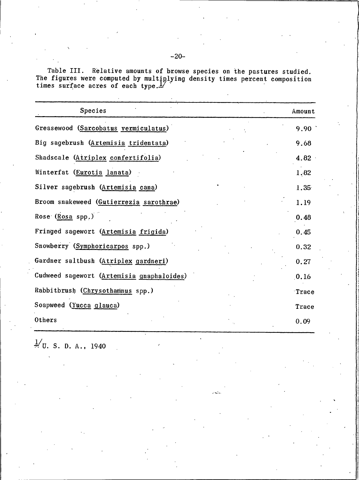Table III. Relative amounts of browse species on the pastures studied.<br>The figures were computed by multiplying density times percent composition<br>times surface acres of each type.

| Species                                   | Amount |
|-------------------------------------------|--------|
| Greasewood (Sarcobatus vermiculatus)      | 9.90   |
| Big sagebrush (Artemisia tridentata)      | 9.68   |
| Shadscale (Atriplex confertifolia)        | 4.82   |
| Winterfat (Eurotia lanata)                | 1.82   |
| Silver sagebrush (Artemisia cana)         | 1.35   |
| Broom snakeweed (Gutierrezia sarothrae)   | 1.19   |
| Rose (Rosa spp.)                          | 0.48   |
| Fringed sagewort (Artemisia frigida)      | 0.45   |
| Snowberry (Symphoricarpos spp.)           | 0.32   |
| Gardner saltbush (Atriplex gardneri)      | 0.27   |
| Cudweed sagewort (Artemisia gnaphaloides) | 0.16   |
| Rabbitbrush (Chrysothamnus spp.)          | Trace  |
| Soapweed (Yucca glauca)                   | Trace  |
| Others                                    | 0.09   |

 $\frac{1}{2}$ U. S. D. A., 1940

 $-20-$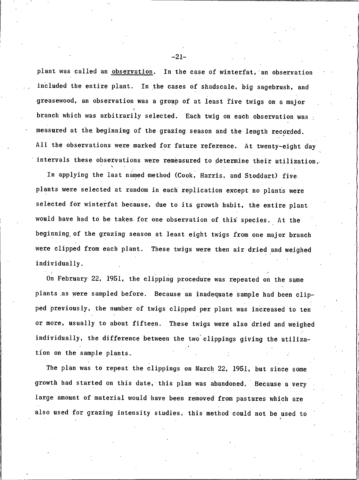plant was called an observation. In the case of winterfat, an observation included the entire plant. In the cases of shadscale, big sagebrush, and greasewood, an observation was a group of at least five twigs on a major branch which was arbitrarily selected. Each twig on each observation was measured at the beginning of the grazing season and the length recorded. All the observations were marked for future reference. At twenty-eight day intervals these observations were remeasured to determine their utilization.

In applying the last named method (Cook, Harris, and Stoddart) five. plants were selected at random in each replication except no plants were selected for winterfat because, due to its growth habit, the entire plant would have had to be taken for one observation of this species. At the beginning of the grazing season at least eight twigs from one major branch were clipped from each plant. These twigs were then air dried and weighed individually.

On February 22, 1951, the clipping procedure was repeated on the same plants as were sampled before. Because an inadequate sample had been clipped previously, the number of twigs clipped per plant was increased to ten or more, usually to about fifteen. These twigs were also dried and weighed individually, the difference between the two clippings giving the utilization on the sample plants.

The plan was to repeat the clippings on March 22, 1951, but since some growth had started on this date, this plan was abandoned. Because a very large amount of material would have been removed from pastures which are also used for grazing intensity studies, this method could not be used to

 $-21-$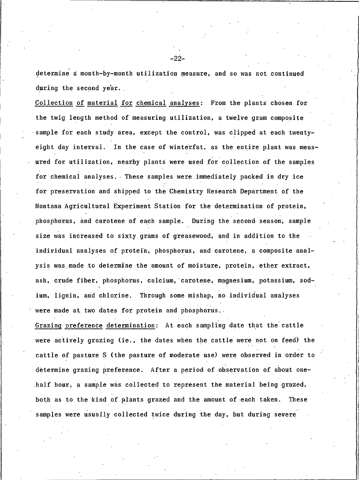determine a month-by-month utilization measure, and so was not continued during the second year.

Collection of material for chemical analyses: From the plants chosen for the twig length method of measuring utilization, a twelve gram composite sample for each study area, except the control, was clipped at each twentyeight day interval. In the case of winterfat, as the entire plant was measured for utilization, nearby plants were used for collection of the samples for chemical analyses. These samples were immediately packed in dry ice for preservation and shipped to the Chemistry Research Department of the Montana Agricultural Experiment Station for the determination of protein, phosphorus, and carotene of each sample. During the second season, sample size was increased to sixty grams of greasewood, and in addition to the individual analyses of protein, phosphorus, and carotene, a composite analysis was made to determine the amount of moisture, protein, ether extract, ash, crude fiber, phosphorus, calcium, carotene, magnesium, potassium, sodium, lignin, and chlorine. Through some mishap, no individual analyses were made at two dates for protein and phosphorus.

Grazing preference determination: At each sampling date that the cattle were actively grazing (ie., the dates when the cattle were not on feed) the cattle of pasture S (the pasture of moderate use) were observed in order to determine grazing preference. After a period of observation of about onehalf hour, a sample was collected to represent the material being grazed, both as to the kind of plants grazed and the amount of each taken. These samples were usually collected twice during the day, but during severe

.22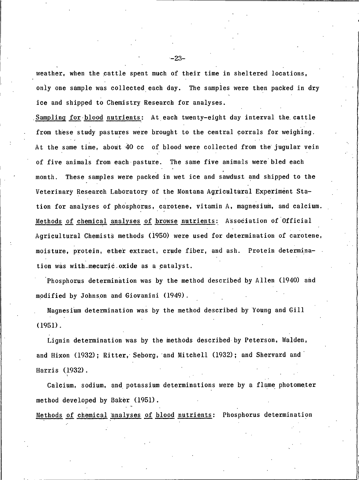weather, when the cattle spent much of their time in sheltered locations, only one sample was collected each day. The samples were then packed in dry ice and shipped to Chemistry Research for analyses.

Sampling for blood nutrients: At each twenty-eight day interval the cattle from these study pastures were brought to the central corrals for weighing. At the same time, about 40 cc of blood were collected from the jugular vein of five animals from each pasture. The same five animals were bled each month. These samples were packed in wet ice and sawdust and shipped to the Veterinary Research Laboratory of the Montana Agricultural Experiment Station for analyses of phosphorus, carotene, vitamin A, magnesium, and calcium. Methods of chemical analyses of browse nutrients: Association of Official Agricultural Chemists methods (1950) were used for determination of carotene, moisture, protein, ether extract, crude fiber, and ash. Protein determination was with mecuric oxide as a catalyst.

Phosphorus determination was by the method described by Allen (1940) and modified by Johnson and Giovanini (1949).

Magnesium determination was by the method described by Young and Gill  $(1951).$ 

Lignin determination was by the methods described by Peterson, Walden, and Hixon (1932); Ritter, Seborg, and Mitchell (1932); and Shervard and Harris (1932).

Calcium, sodium, and potassium determinations were by a flame photometer method developed by Baker (1951).

Methods of chemical analyses of blood nutrients: Phosphorus determination

 $-23-$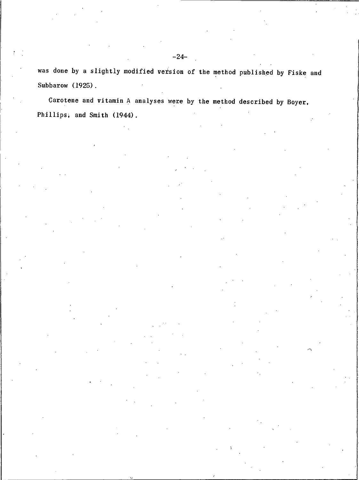was done by a slightly modified version of the method published by Fiske and Subbarow (1925).

Carotene and vitamin A analyses were by the method described by Boyer, Phillips, and Smith (1944).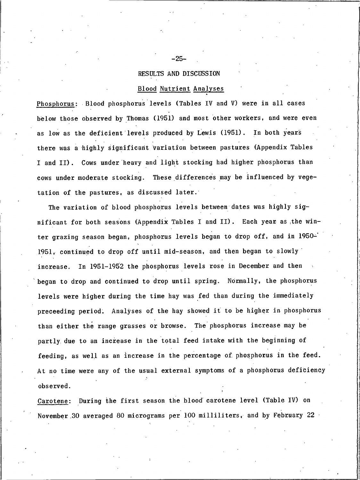## RESULTS AND DISCUSSION

#### **Blood Nutrient Analyses**

Phosphorus: Blood phosphorus levels (Tables IV and V) were in all cases below those observed by Thomas (1951) and most other workers, and were even as low as the deficient levels produced by Lewis (1951). In both years there was a highly significant variation between pastures (Appendix Tables I and II). Cows under heavy and light stocking had higher phosphorus than cows under moderate stocking. These differences may be influenced by vegetation of the pastures, as discussed later.

The variation of blood phosphorus levels between dates was highly significant for both seasons (Appendix Tables I and II). Each year as the winter grazing season began, phosphorus levels began to drop off, and in 1950-1951, continued to drop off until mid-season, and then began to slowly In 1951-1952 the phosphorus levels rose in December and then increase. began to drop and continued to drop until spring. Normally, the phosphorus levels were higher during the time hay was fed than during the immediately preceeding period. Analyses of the hay showed it to be higher in phosphorus than either the range grasses or browse. The phosphorus increase may be partly due to an increase in the total feed intake with the beginning of feeding, as well as an increase in the percentage of phosphorus in the feed. At no time were any of the usual external symptoms of a phosphorus deficiency observed.

Carotene: During the first season the blood carotene level (Table IV) on November 30 averaged 80 micrograms per 100 milliliters, and by February 22

 $-25-$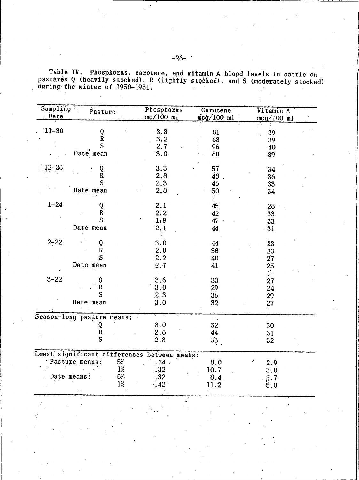| $11 - 30$<br>$\frac{12-28}{2}$<br>$1 - 24$<br>Date mean<br>$2 - 22$<br>Date mean<br>$3 - 22$<br>Date mean | Q<br>${\bf R}$<br>S<br>Date mean<br>Q<br>$\overline{\textbf{R}}$<br>S<br>Date mean<br>Q<br>${\bf R}$ | $-3.3$<br>3.2<br>2.7<br>3.0<br>3.3<br>2.8<br>2.3<br>2,8<br>2.1 | 81<br>63<br>96<br>80<br>57<br>48<br>46<br>50 | $mcg/100$ ml<br>39<br>39<br>40<br>39<br>34<br>36<br>33<br>34 |
|-----------------------------------------------------------------------------------------------------------|------------------------------------------------------------------------------------------------------|----------------------------------------------------------------|----------------------------------------------|--------------------------------------------------------------|
|                                                                                                           |                                                                                                      |                                                                |                                              |                                                              |
|                                                                                                           |                                                                                                      |                                                                |                                              |                                                              |
|                                                                                                           |                                                                                                      |                                                                |                                              |                                                              |
|                                                                                                           |                                                                                                      |                                                                |                                              |                                                              |
|                                                                                                           |                                                                                                      |                                                                |                                              |                                                              |
|                                                                                                           |                                                                                                      |                                                                |                                              |                                                              |
|                                                                                                           |                                                                                                      |                                                                |                                              |                                                              |
|                                                                                                           |                                                                                                      |                                                                |                                              |                                                              |
|                                                                                                           |                                                                                                      |                                                                |                                              |                                                              |
|                                                                                                           |                                                                                                      |                                                                |                                              |                                                              |
|                                                                                                           |                                                                                                      |                                                                | 45                                           | 28                                                           |
|                                                                                                           |                                                                                                      | 2.2                                                            | 42                                           | 33                                                           |
|                                                                                                           | S                                                                                                    | l:9                                                            | 47                                           | 33                                                           |
|                                                                                                           |                                                                                                      | 2.1                                                            | 44                                           | $-31$                                                        |
|                                                                                                           |                                                                                                      |                                                                |                                              |                                                              |
|                                                                                                           | Q                                                                                                    | 3.0                                                            | 44                                           | 23                                                           |
|                                                                                                           | $\mathbf R$                                                                                          | 2.8                                                            | 38                                           |                                                              |
|                                                                                                           | S                                                                                                    | 2.2                                                            | 40                                           | $\frac{23}{27}$                                              |
|                                                                                                           |                                                                                                      | 2.7                                                            | 41                                           | 25                                                           |
|                                                                                                           |                                                                                                      |                                                                |                                              | ÿ.                                                           |
|                                                                                                           |                                                                                                      | 3.6                                                            | 33                                           | 27                                                           |
|                                                                                                           | Q<br>R                                                                                               | 3.0                                                            | 29                                           | 24                                                           |
|                                                                                                           | S                                                                                                    | 2.3                                                            | 36                                           | 29                                                           |
|                                                                                                           |                                                                                                      | 3.0                                                            | 32                                           |                                                              |
|                                                                                                           |                                                                                                      |                                                                |                                              | 27                                                           |
|                                                                                                           | Season-long pasture means:                                                                           |                                                                | $\epsilon_{\rm in}$                          |                                                              |
|                                                                                                           | Q                                                                                                    | 3.0                                                            | 52                                           | 30                                                           |
|                                                                                                           | $\frac{R}{S}$                                                                                        | 2.8                                                            | 44                                           | 31                                                           |
|                                                                                                           |                                                                                                      | 2.3                                                            | 53                                           | 32                                                           |
|                                                                                                           |                                                                                                      | Least significant differences between means:                   |                                              |                                                              |
| Pasture means:                                                                                            | 5%                                                                                                   | .24                                                            | 8.0                                          | 2.9                                                          |
|                                                                                                           | 1%                                                                                                   | .32                                                            | 10.7                                         | 3.8                                                          |
| Date means:                                                                                               |                                                                                                      | 32                                                             |                                              |                                                              |
| y N                                                                                                       | $\frac{5}{3}$<br>$\frac{1}{6}$                                                                       | 42                                                             | $\begin{array}{c} 8.4 \\ 11.2 \end{array}$   | $\begin{array}{c} 3.7 \\ 5.0 \end{array}$                    |
|                                                                                                           |                                                                                                      |                                                                |                                              |                                                              |
|                                                                                                           |                                                                                                      |                                                                |                                              |                                                              |
|                                                                                                           |                                                                                                      |                                                                |                                              |                                                              |
|                                                                                                           |                                                                                                      |                                                                |                                              |                                                              |
|                                                                                                           |                                                                                                      |                                                                |                                              |                                                              |
|                                                                                                           |                                                                                                      |                                                                |                                              |                                                              |

Table IV. Phosphorus, carotene, and vitamin A pastures Q (heavily stocked), R (lightly stocked), during the winter of